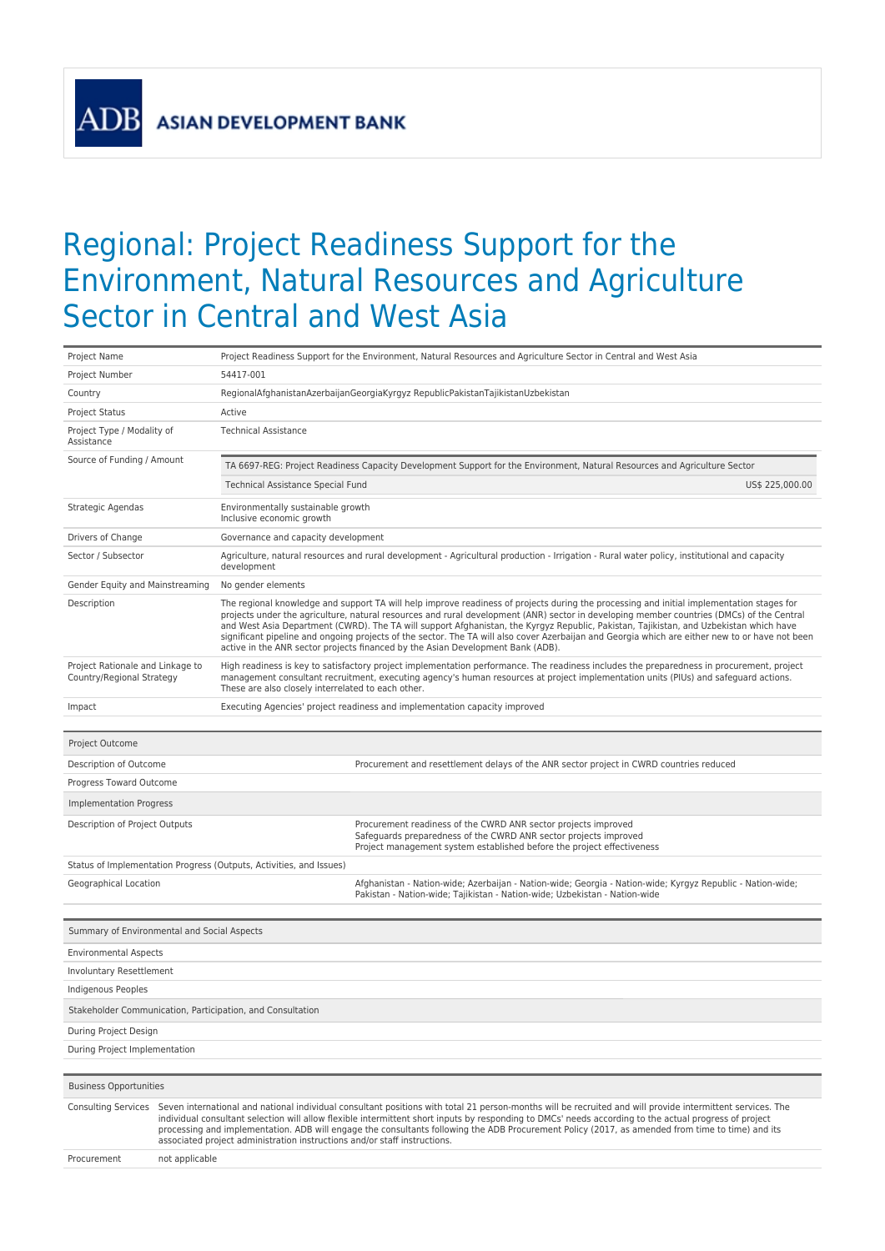**ASIAN DEVELOPMENT BANK** 

**ADP** 

## Regional: Project Readiness Support for the Environment, Natural Resources and Agriculture Sector in Central and West Asia

| Project Name                                                  |                                                                                                                                                                                                                                                                                                                                                                                                                                                                                                                                                                           | Project Readiness Support for the Environment, Natural Resources and Agriculture Sector in Central and West Asia                                                                                                                                                                                                                                                                                                                                                                                                                                                                                                                                                       |  |  |  |  |
|---------------------------------------------------------------|---------------------------------------------------------------------------------------------------------------------------------------------------------------------------------------------------------------------------------------------------------------------------------------------------------------------------------------------------------------------------------------------------------------------------------------------------------------------------------------------------------------------------------------------------------------------------|------------------------------------------------------------------------------------------------------------------------------------------------------------------------------------------------------------------------------------------------------------------------------------------------------------------------------------------------------------------------------------------------------------------------------------------------------------------------------------------------------------------------------------------------------------------------------------------------------------------------------------------------------------------------|--|--|--|--|
| Project Number                                                | 54417-001                                                                                                                                                                                                                                                                                                                                                                                                                                                                                                                                                                 |                                                                                                                                                                                                                                                                                                                                                                                                                                                                                                                                                                                                                                                                        |  |  |  |  |
| Country                                                       |                                                                                                                                                                                                                                                                                                                                                                                                                                                                                                                                                                           | RegionalAfghanistanAzerbaijanGeorgiaKyrgyz RepublicPakistanTajikistanUzbekistan                                                                                                                                                                                                                                                                                                                                                                                                                                                                                                                                                                                        |  |  |  |  |
| <b>Project Status</b>                                         | Active                                                                                                                                                                                                                                                                                                                                                                                                                                                                                                                                                                    |                                                                                                                                                                                                                                                                                                                                                                                                                                                                                                                                                                                                                                                                        |  |  |  |  |
| Project Type / Modality of<br>Assistance                      | <b>Technical Assistance</b>                                                                                                                                                                                                                                                                                                                                                                                                                                                                                                                                               |                                                                                                                                                                                                                                                                                                                                                                                                                                                                                                                                                                                                                                                                        |  |  |  |  |
| Source of Funding / Amount                                    |                                                                                                                                                                                                                                                                                                                                                                                                                                                                                                                                                                           | TA 6697-REG: Project Readiness Capacity Development Support for the Environment, Natural Resources and Agriculture Sector                                                                                                                                                                                                                                                                                                                                                                                                                                                                                                                                              |  |  |  |  |
|                                                               | Technical Assistance Special Fund                                                                                                                                                                                                                                                                                                                                                                                                                                                                                                                                         | US\$ 225,000.00                                                                                                                                                                                                                                                                                                                                                                                                                                                                                                                                                                                                                                                        |  |  |  |  |
| Strategic Agendas                                             | Inclusive economic growth                                                                                                                                                                                                                                                                                                                                                                                                                                                                                                                                                 | Environmentally sustainable growth                                                                                                                                                                                                                                                                                                                                                                                                                                                                                                                                                                                                                                     |  |  |  |  |
| Drivers of Change                                             |                                                                                                                                                                                                                                                                                                                                                                                                                                                                                                                                                                           | Governance and capacity development                                                                                                                                                                                                                                                                                                                                                                                                                                                                                                                                                                                                                                    |  |  |  |  |
| Sector / Subsector                                            | development                                                                                                                                                                                                                                                                                                                                                                                                                                                                                                                                                               | Agriculture, natural resources and rural development - Agricultural production - Irrigation - Rural water policy, institutional and capacity                                                                                                                                                                                                                                                                                                                                                                                                                                                                                                                           |  |  |  |  |
| Gender Equity and Mainstreaming                               | No gender elements                                                                                                                                                                                                                                                                                                                                                                                                                                                                                                                                                        |                                                                                                                                                                                                                                                                                                                                                                                                                                                                                                                                                                                                                                                                        |  |  |  |  |
| Description                                                   |                                                                                                                                                                                                                                                                                                                                                                                                                                                                                                                                                                           | The regional knowledge and support TA will help improve readiness of projects during the processing and initial implementation stages for<br>projects under the agriculture, natural resources and rural development (ANR) sector in developing member countries (DMCs) of the Central<br>and West Asia Department (CWRD). The TA will support Afghanistan, the Kyrgyz Republic, Pakistan, Tajikistan, and Uzbekistan which have<br>significant pipeline and ongoing projects of the sector. The TA will also cover Azerbaijan and Georgia which are either new to or have not been<br>active in the ANR sector projects financed by the Asian Development Bank (ADB). |  |  |  |  |
| Project Rationale and Linkage to<br>Country/Regional Strategy |                                                                                                                                                                                                                                                                                                                                                                                                                                                                                                                                                                           | High readiness is key to satisfactory project implementation performance. The readiness includes the preparedness in procurement, project<br>management consultant recruitment, executing agency's human resources at project implementation units (PIUs) and safeguard actions.<br>These are also closely interrelated to each other.                                                                                                                                                                                                                                                                                                                                 |  |  |  |  |
| Impact                                                        |                                                                                                                                                                                                                                                                                                                                                                                                                                                                                                                                                                           | Executing Agencies' project readiness and implementation capacity improved                                                                                                                                                                                                                                                                                                                                                                                                                                                                                                                                                                                             |  |  |  |  |
|                                                               |                                                                                                                                                                                                                                                                                                                                                                                                                                                                                                                                                                           |                                                                                                                                                                                                                                                                                                                                                                                                                                                                                                                                                                                                                                                                        |  |  |  |  |
| Project Outcome                                               |                                                                                                                                                                                                                                                                                                                                                                                                                                                                                                                                                                           |                                                                                                                                                                                                                                                                                                                                                                                                                                                                                                                                                                                                                                                                        |  |  |  |  |
| Description of Outcome                                        |                                                                                                                                                                                                                                                                                                                                                                                                                                                                                                                                                                           | Procurement and resettlement delays of the ANR sector project in CWRD countries reduced                                                                                                                                                                                                                                                                                                                                                                                                                                                                                                                                                                                |  |  |  |  |
| Progress Toward Outcome                                       |                                                                                                                                                                                                                                                                                                                                                                                                                                                                                                                                                                           |                                                                                                                                                                                                                                                                                                                                                                                                                                                                                                                                                                                                                                                                        |  |  |  |  |
| Implementation Progress                                       |                                                                                                                                                                                                                                                                                                                                                                                                                                                                                                                                                                           |                                                                                                                                                                                                                                                                                                                                                                                                                                                                                                                                                                                                                                                                        |  |  |  |  |
| Description of Project Outputs                                |                                                                                                                                                                                                                                                                                                                                                                                                                                                                                                                                                                           | Procurement readiness of the CWRD ANR sector projects improved<br>Safeguards preparedness of the CWRD ANR sector projects improved<br>Project management system established before the project effectiveness                                                                                                                                                                                                                                                                                                                                                                                                                                                           |  |  |  |  |
|                                                               | Status of Implementation Progress (Outputs, Activities, and Issues)                                                                                                                                                                                                                                                                                                                                                                                                                                                                                                       |                                                                                                                                                                                                                                                                                                                                                                                                                                                                                                                                                                                                                                                                        |  |  |  |  |
| Geographical Location                                         |                                                                                                                                                                                                                                                                                                                                                                                                                                                                                                                                                                           | Afghanistan - Nation-wide; Azerbaijan - Nation-wide; Georgia - Nation-wide; Kyrgyz Republic - Nation-wide;<br>Pakistan - Nation-wide; Tajikistan - Nation-wide; Uzbekistan - Nation-wide                                                                                                                                                                                                                                                                                                                                                                                                                                                                               |  |  |  |  |
| Summary of Environmental and Social Aspects                   |                                                                                                                                                                                                                                                                                                                                                                                                                                                                                                                                                                           |                                                                                                                                                                                                                                                                                                                                                                                                                                                                                                                                                                                                                                                                        |  |  |  |  |
| <b>Environmental Aspects</b>                                  |                                                                                                                                                                                                                                                                                                                                                                                                                                                                                                                                                                           |                                                                                                                                                                                                                                                                                                                                                                                                                                                                                                                                                                                                                                                                        |  |  |  |  |
| Involuntary Resettlement                                      |                                                                                                                                                                                                                                                                                                                                                                                                                                                                                                                                                                           |                                                                                                                                                                                                                                                                                                                                                                                                                                                                                                                                                                                                                                                                        |  |  |  |  |
| Indigenous Peoples                                            |                                                                                                                                                                                                                                                                                                                                                                                                                                                                                                                                                                           |                                                                                                                                                                                                                                                                                                                                                                                                                                                                                                                                                                                                                                                                        |  |  |  |  |
|                                                               | Stakeholder Communication, Participation, and Consultation                                                                                                                                                                                                                                                                                                                                                                                                                                                                                                                |                                                                                                                                                                                                                                                                                                                                                                                                                                                                                                                                                                                                                                                                        |  |  |  |  |
| During Project Design                                         |                                                                                                                                                                                                                                                                                                                                                                                                                                                                                                                                                                           |                                                                                                                                                                                                                                                                                                                                                                                                                                                                                                                                                                                                                                                                        |  |  |  |  |
| During Project Implementation                                 |                                                                                                                                                                                                                                                                                                                                                                                                                                                                                                                                                                           |                                                                                                                                                                                                                                                                                                                                                                                                                                                                                                                                                                                                                                                                        |  |  |  |  |
|                                                               |                                                                                                                                                                                                                                                                                                                                                                                                                                                                                                                                                                           |                                                                                                                                                                                                                                                                                                                                                                                                                                                                                                                                                                                                                                                                        |  |  |  |  |
| <b>Business Opportunities</b>                                 |                                                                                                                                                                                                                                                                                                                                                                                                                                                                                                                                                                           |                                                                                                                                                                                                                                                                                                                                                                                                                                                                                                                                                                                                                                                                        |  |  |  |  |
|                                                               | Consulting Services Seven international and national individual consultant positions with total 21 person-months will be recruited and will provide intermittent services. The<br>individual consultant selection will allow flexible intermittent short inputs by responding to DMCs' needs according to the actual progress of project<br>processing and implementation. ADB will engage the consultants following the ADB Procurement Policy (2017, as amended from time to time) and its<br>associated project administration instructions and/or staff instructions. |                                                                                                                                                                                                                                                                                                                                                                                                                                                                                                                                                                                                                                                                        |  |  |  |  |
| Procurement                                                   | not applicable                                                                                                                                                                                                                                                                                                                                                                                                                                                                                                                                                            |                                                                                                                                                                                                                                                                                                                                                                                                                                                                                                                                                                                                                                                                        |  |  |  |  |
|                                                               |                                                                                                                                                                                                                                                                                                                                                                                                                                                                                                                                                                           |                                                                                                                                                                                                                                                                                                                                                                                                                                                                                                                                                                                                                                                                        |  |  |  |  |